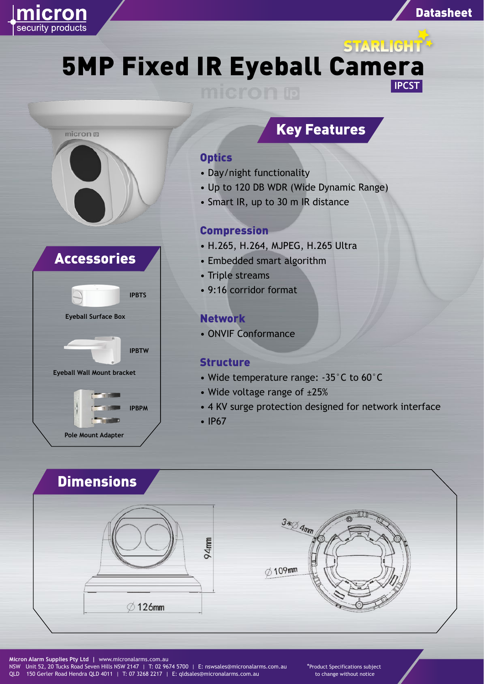

# **5TARLIGHT\***<br>5 MP Fixed IR Eyeball Camera **IPCST**





## Key Features

#### **Optics**

- Day/night functionality
- Up to 120 DB WDR (Wide Dynamic Range)
- Smart IR, up to 30 m IR distance

#### Compression

- H.265, H.264, MJPEG, H.265 Ultra
- Embedded smart algorithm
- Triple streams
- 9:16 corridor format

#### Network

• ONVIF Conformance

#### **Structure**

- Wide temperature range: -35°C to 60°C
- Wide voltage range of ±25%
- 4 KV surge protection designed for network interface
- IP67

### Dimensions





**Micron Alarm Supplies Pty Ltd |** www.micronalarms.com.au NSW Unit 52, 20 Tucks Road Seven Hills NSW 2147 | T: 02 9674 5700 | E: nswsales@micronalarms.com.au QLD 150 Gerler Road Hendra QLD 4011 | T: 07 3268 2217 | E: qldsales@micronalarms.com.au

\*Product Specifications subject to change without notice